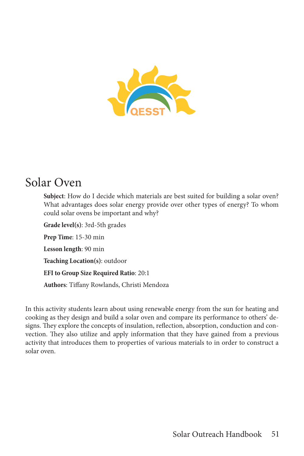

# Solar Oven

**Subject**: How do I decide which materials are best suited for building a solar oven? What advantages does solar energy provide over other types of energy? To whom could solar ovens be important and why?

**Grade level(s)**: 3rd-5th grades **Prep Time**: 15-30 min **Lesson length**: 90 min **Teaching Location(s)**: outdoor **EFI to Group Size Required Ratio**: 20:1 **Authors**: Tiffany Rowlands, Christi Mendoza

In this activity students learn about using renewable energy from the sun for heating and cooking as they design and build a solar oven and compare its performance to others' designs. They explore the concepts of insulation, reflection, absorption, conduction and convection. They also utilize and apply information that they have gained from a previous activity that introduces them to properties of various materials to in order to construct a solar oven.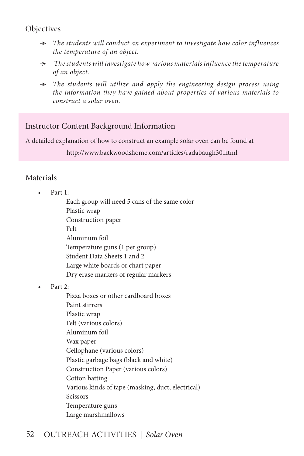## **Objectives**

- Ӻ *The students will conduct an experiment to investigate how color influences the temperature of an object.*
- Ӻ *The students will investigate how various materials influence the temperature of an object.*
- Ӻ *The students will utilize and apply the engineering design process using the information they have gained about properties of various materials to construct a solar oven.*

## Instructor Content Background Information

A detailed explanation of how to construct an example solar oven can be found at

http://www.backwoodshome.com/articles/radabaugh30.html

## Materials

Part 1:

Each group will need 5 cans of the same color Plastic wrap Construction paper Felt Aluminum foil Temperature guns (1 per group) Student Data Sheets 1 and 2 Large white boards or chart paper Dry erase markers of regular markers

Part 2:

Pizza boxes or other cardboard boxes Paint stirrers Plastic wrap Felt (various colors) Aluminum foil Wax paper Cellophane (various colors) Plastic garbage bags (black and white) Construction Paper (various colors) Cotton batting Various kinds of tape (masking, duct, electrical) Scissors Temperature guns Large marshmallows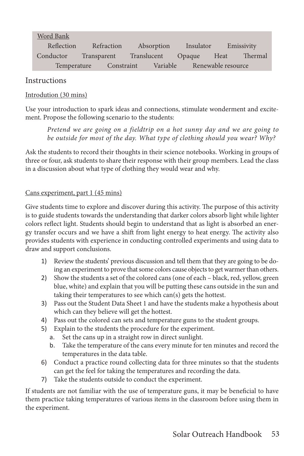#### Word Bank

| Reflection  | Refraction  |  | Absorption  |  | Insulator |  | Emissivity         |         |
|-------------|-------------|--|-------------|--|-----------|--|--------------------|---------|
| Conductor   | Transparent |  | Translucent |  | Opaque    |  | Heat               | Thermal |
| Temperature |             |  | Constraint  |  | Variable  |  | Renewable resource |         |

#### **Instructions**

#### Introdution (30 mins)

Use your introduction to spark ideas and connections, stimulate wonderment and excitement. Propose the following scenario to the students:

*Pretend we are going on a fieldtrip on a hot sunny day and we are going to be outside for most of the day. What type of clothing should you wear? Why?*

Ask the students to record their thoughts in their science notebooks. Working in groups of three or four, ask students to share their response with their group members. Lead the class in a discussion about what type of clothing they would wear and why.

#### Cans experiment, part 1 (45 mins)

Give students time to explore and discover during this activity. The purpose of this activity is to guide students towards the understanding that darker colors absorb light while lighter colors reflect light. Students should begin to understand that as light is absorbed an energy transfer occurs and we have a shift from light energy to heat energy. The activity also provides students with experience in conducting controlled experiments and using data to draw and support conclusions.

- 1) Review the students' previous discussion and tell them that they are going to be doing an experiment to prove that some colors cause objects to get warmer than others.
- 2) Show the students a set of the colored cans (one of each black, red, yellow, green blue, white) and explain that you will be putting these cans outside in the sun and taking their temperatures to see which can(s) gets the hottest.
- 3) Pass out the Student Data Sheet 1 and have the students make a hypothesis about which can they believe will get the hottest.
- 4) Pass out the colored can sets and temperature guns to the student groups.
- 5) Explain to the students the procedure for the experiment.
	- a. Set the cans up in a straight row in direct sunlight.
	- b. Take the temperature of the cans every minute for ten minutes and record the temperatures in the data table.
- 6) Conduct a practice round collecting data for three minutes so that the students can get the feel for taking the temperatures and recording the data.
- 7) Take the students outside to conduct the experiment.

If students are not familiar with the use of temperature guns, it may be beneficial to have them practice taking temperatures of various items in the classroom before using them in the experiment.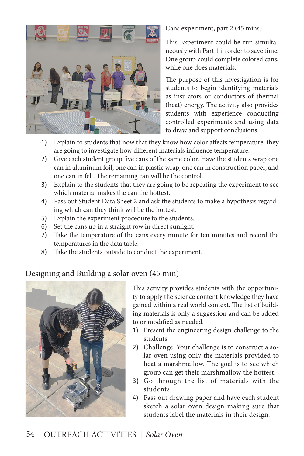

#### Cans experiment, part 2 (45 mins)

This Experiment could be run simultaneously with Part 1 in order to save time. One group could complete colored cans, while one does materials.

The purpose of this investigation is for students to begin identifying materials as insulators or conductors of thermal (heat) energy. The activity also provides students with experience conducting controlled experiments and using data to draw and support conclusions.

- 1) Explain to students that now that they know how color affects temperature, they are going to investigate how different materials influence temperature.
- 2) Give each student group five cans of the same color. Have the students wrap one can in aluminum foil, one can in plastic wrap, one can in construction paper, and one can in felt. The remaining can will be the control.
- 3) Explain to the students that they are going to be repeating the experiment to see which material makes the can the hottest.
- 4) Pass out Student Data Sheet 2 and ask the students to make a hypothesis regarding which can they think will be the hottest.
- 5) Explain the experiment procedure to the students.
- 6) Set the cans up in a straight row in direct sunlight.
- 7) Take the temperature of the cans every minute for ten minutes and record the temperatures in the data table.
- 8) Take the students outside to conduct the experiment.

# Designing and Building a solar oven (45 min)



This activity provides students with the opportunity to apply the science content knowledge they have gained within a real world context. The list of building materials is only a suggestion and can be added to or modified as needed.

- 1) Present the engineering design challenge to the students.
- 2) Challenge: Your challenge is to construct a solar oven using only the materials provided to heat a marshmallow. The goal is to see which group can get their marshmallow the hottest.
- 3) Go through the list of materials with the students.
- 4) Pass out drawing paper and have each student sketch a solar oven design making sure that students label the materials in their design.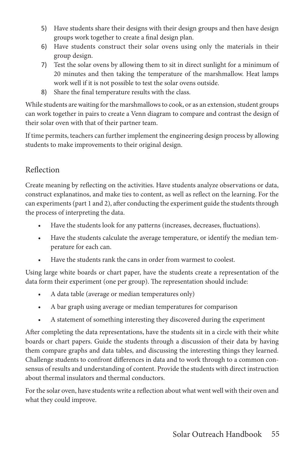- 5) Have students share their designs with their design groups and then have design groups work together to create a final design plan.
- 6) Have students construct their solar ovens using only the materials in their group design.
- 7) Test the solar ovens by allowing them to sit in direct sunlight for a minimum of 20 minutes and then taking the temperature of the marshmallow. Heat lamps work well if it is not possible to test the solar ovens outside.
- 8) Share the final temperature results with the class.

While students are waiting for the marshmallows to cook, or as an extension, student groups can work together in pairs to create a Venn diagram to compare and contrast the design of their solar oven with that of their partner team.

If time permits, teachers can further implement the engineering design process by allowing students to make improvements to their original design.

# Reflection

Create meaning by reflecting on the activities. Have students analyze observations or data, construct explanatinos, and make ties to content, as well as reflect on the learning. For the can experiments (part 1 and 2), after conducting the experiment guide the students through the process of interpreting the data.

- Have the students look for any patterns (increases, decreases, fluctuations).
- Have the students calculate the average temperature, or identify the median temperature for each can.
- Have the students rank the cans in order from warmest to coolest.

Using large white boards or chart paper, have the students create a representation of the data form their experiment (one per group). The representation should include:

- A data table (average or median temperatures only)
- A bar graph using average or median temperatures for comparison
- A statement of something interesting they discovered during the experiment

After completing the data representations, have the students sit in a circle with their white boards or chart papers. Guide the students through a discussion of their data by having them compare graphs and data tables, and discussing the interesting things they learned. Challenge students to confront differences in data and to work through to a common consensus of results and understanding of content. Provide the students with direct instruction about thermal insulators and thermal conductors.

For the solar oven, have students write a reflection about what went well with their oven and what they could improve.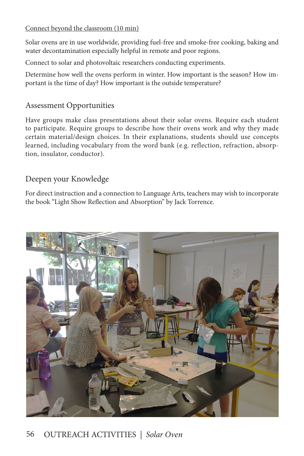#### Connect beyond the classroom (10 min)

Solar ovens are in use worldwide, providing fuel-free and smoke-free cooking, baking and water decontamination especially helpful in remote and poor regions.

Connect to solar and photovoltaic researchers conducting experiments.

Determine how well the ovens perform in winter. How important is the season? How important is the time of day? How important is the outside temperature?

## Assessment Opportunities

Have groups make class presentations about their solar ovens. Require each student to participate. Require groups to describe how their ovens work and why they made certain material/design choices. In their explanations, students should use concepts learned, including vocabulary from the word bank (e.g. reflection, refraction, absorption, insulator, conductor).

# Deepen your Knowledge

For direct instruction and a connection to Language Arts, teachers may wish to incorporate the book "Light Show Reflection and Absorption" by Jack Torrence.



# 56 OUTREACH ACTIVITIES *| Solar Oven*